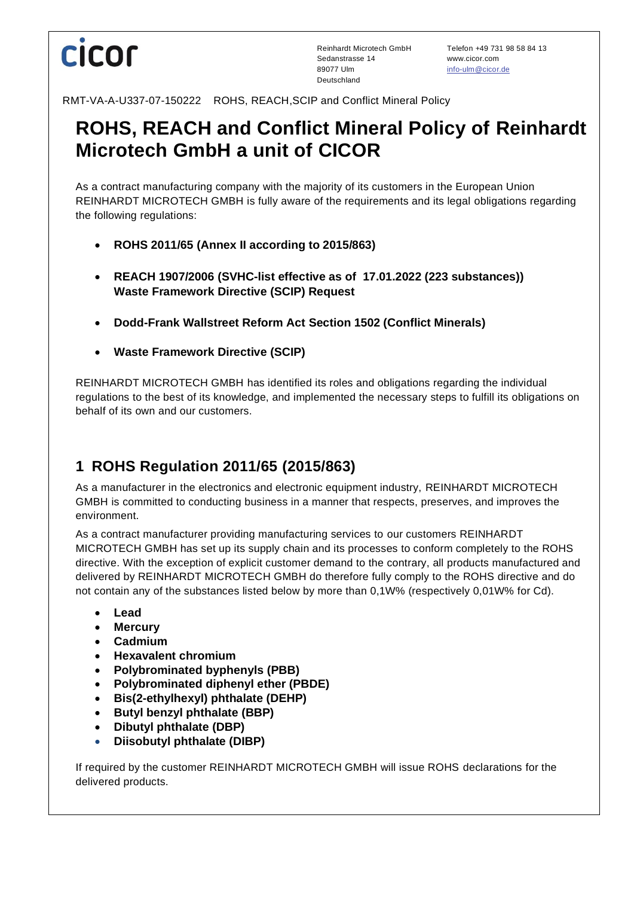# **CICOL**

Sedanstrasse 14 www.cicor.com 89077 Ulm [info-ulm@cicor.de](mailto:info-ulm@cicor.de) Deutschland

Reinhardt Microtech GmbH Telefon +49 731 98 58 84 13

RMT-VA-A-U337-07-150222 ROHS, REACH,SCIP and Conflict Mineral Policy

## **ROHS, REACH and Conflict Mineral Policy of Reinhardt Microtech GmbH a unit of CICOR**

As a contract manufacturing company with the majority of its customers in the European Union REINHARDT MICROTECH GMBH is fully aware of the requirements and its legal obligations regarding the following regulations:

- **ROHS 2011/65 (Annex II according to 2015/863)**
- **REACH 1907/2006 (SVHC-list effective as of 17.01.2022 (223 substances)) Waste Framework Directive (SCIP) Request**
- **Dodd-Frank Wallstreet Reform Act Section 1502 (Conflict Minerals)**
- **Waste Framework Directive (SCIP)**

REINHARDT MICROTECH GMBH has identified its roles and obligations regarding the individual regulations to the best of its knowledge, and implemented the necessary steps to fulfill its obligations on behalf of its own and our customers.

### **1 ROHS Regulation 2011/65 (2015/863)**

As a manufacturer in the electronics and electronic equipment industry, REINHARDT MICROTECH GMBH is committed to conducting business in a manner that respects, preserves, and improves the environment.

As a contract manufacturer providing manufacturing services to our customers REINHARDT MICROTECH GMBH has set up its supply chain and its processes to conform completely to the ROHS directive. With the exception of explicit customer demand to the contrary, all products manufactured and delivered by REINHARDT MICROTECH GMBH do therefore fully comply to the ROHS directive and do not contain any of the substances listed below by more than 0,1W% (respectively 0,01W% for Cd).

- **Lead**
- **Mercury**
- **Cadmium**
- **Hexavalent chromium**
- **Polybrominated byphenyls (PBB)**
- **Polybrominated diphenyl ether (PBDE)**
- **Bis(2-ethylhexyl) phthalate (DEHP)**
- **Butyl benzyl phthalate (BBP)**
- **Dibutyl phthalate (DBP)**
- **Diisobutyl phthalate (DIBP)**

If required by the customer REINHARDT MICROTECH GMBH will issue ROHS declarations for the delivered products.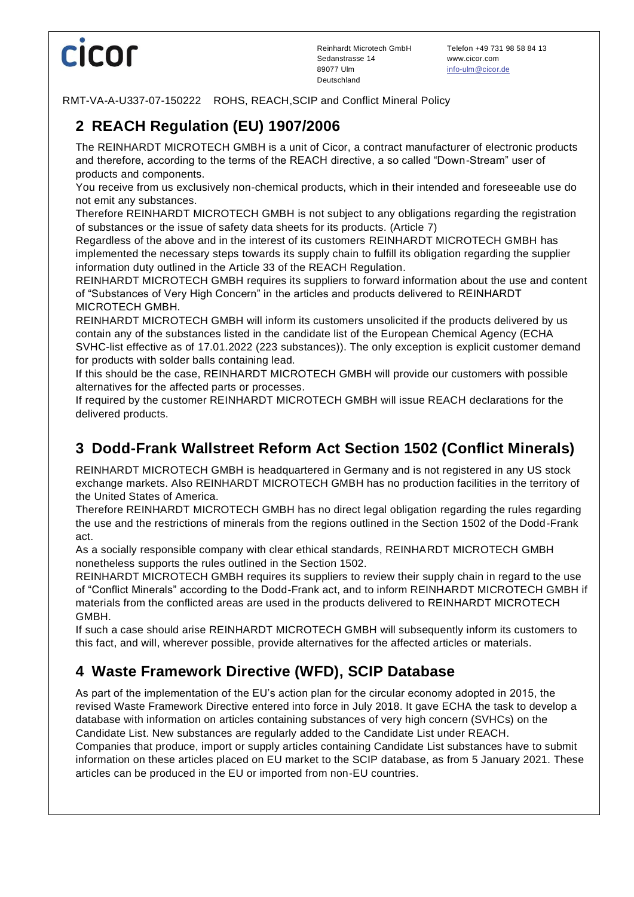# **Cicor**

RMT-VA-A-U337-07-150222 ROHS, REACH,SCIP and Conflict Mineral Policy

## **2 REACH Regulation (EU) 1907/2006**

The REINHARDT MICROTECH GMBH is a unit of Cicor, a contract manufacturer of electronic products and therefore, according to the terms of the REACH directive, a so called "Down-Stream" user of products and components.

You receive from us exclusively non-chemical products, which in their intended and foreseeable use do not emit any substances.

Therefore REINHARDT MICROTECH GMBH is not subject to any obligations regarding the registration of substances or the issue of safety data sheets for its products. (Article 7)

Regardless of the above and in the interest of its customers REINHARDT MICROTECH GMBH has implemented the necessary steps towards its supply chain to fulfill its obligation regarding the supplier information duty outlined in the Article 33 of the REACH Regulation.

REINHARDT MICROTECH GMBH requires its suppliers to forward information about the use and content of "Substances of Very High Concern" in the articles and products delivered to REINHARDT MICROTECH GMBH.

REINHARDT MICROTECH GMBH will inform its customers unsolicited if the products delivered by us contain any of the substances listed in the candidate list of the European Chemical Agency (ECHA SVHC-list effective as of 17.01.2022 (223 substances)). The only exception is explicit customer demand for products with solder balls containing lead.

If this should be the case, REINHARDT MICROTECH GMBH will provide our customers with possible alternatives for the affected parts or processes.

If required by the customer REINHARDT MICROTECH GMBH will issue REACH declarations for the delivered products.

#### **3 Dodd-Frank Wallstreet Reform Act Section 1502 (Conflict Minerals)**

REINHARDT MICROTECH GMBH is headquartered in Germany and is not registered in any US stock exchange markets. Also REINHARDT MICROTECH GMBH has no production facilities in the territory of the United States of America.

Therefore REINHARDT MICROTECH GMBH has no direct legal obligation regarding the rules regarding the use and the restrictions of minerals from the regions outlined in the Section 1502 of the Dodd-Frank act.

As a socially responsible company with clear ethical standards, REINHARDT MICROTECH GMBH nonetheless supports the rules outlined in the Section 1502.

REINHARDT MICROTECH GMBH requires its suppliers to review their supply chain in regard to the use of "Conflict Minerals" according to the Dodd-Frank act, and to inform REINHARDT MICROTECH GMBH if materials from the conflicted areas are used in the products delivered to REINHARDT MICROTECH GMBH.

If such a case should arise REINHARDT MICROTECH GMBH will subsequently inform its customers to this fact, and will, wherever possible, provide alternatives for the affected articles or materials.

### **4 Waste Framework Directive (WFD), SCIP Database**

As part of the implementation of the EU's action plan for the circular economy adopted in 2015, the revised Waste Framework Directive entered into force in July 2018. It gave ECHA the task to develop a database with information on articles containing substances of very high concern (SVHCs) on the Candidate List. New substances are regularly added to the Candidate List under REACH.

Companies that produce, import or supply articles containing Candidate List substances have to submit information on these articles placed on EU market to the SCIP database, as from 5 January 2021. These articles can be produced in the EU or imported from non-EU countries.